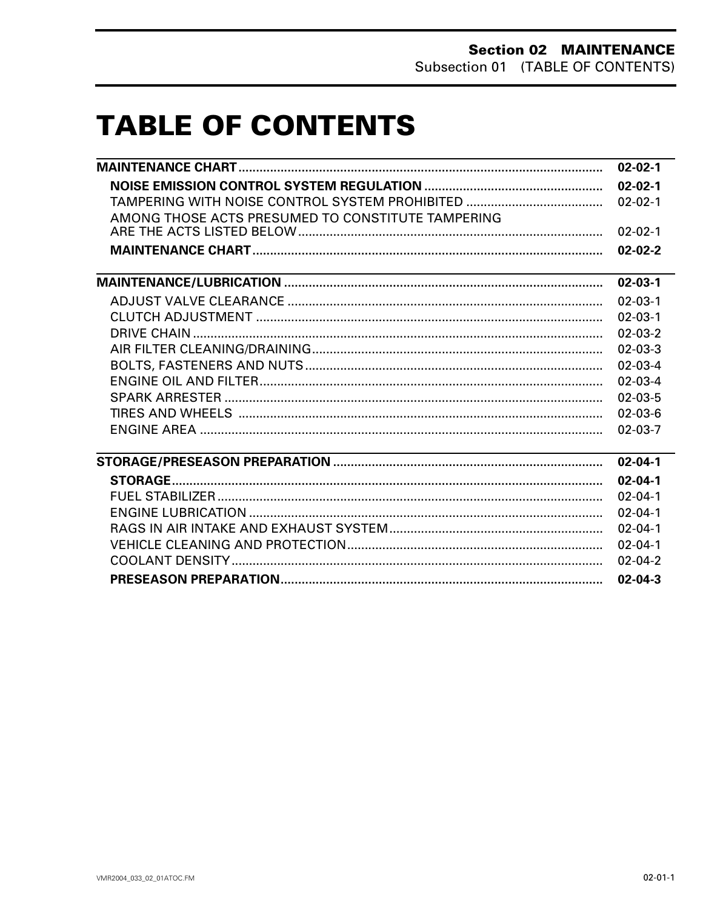# **TABLE OF CONTENTS**

|                                                                                                                  | $02 - 02 - 1$ |
|------------------------------------------------------------------------------------------------------------------|---------------|
|                                                                                                                  | $02 - 02 - 1$ |
|                                                                                                                  | $02 - 02 - 1$ |
| AMONG THOSE ACTS PRESUMED TO CONSTITUTE TAMPERING                                                                |               |
|                                                                                                                  | $02 - 02 - 1$ |
|                                                                                                                  | $02 - 02 - 2$ |
| and the control of the control of the control of the control of the control of the control of the control of the | $02 - 03 - 1$ |
|                                                                                                                  | $02 - 03 - 1$ |
|                                                                                                                  | $02 - 03 - 1$ |
|                                                                                                                  | $02 - 03 - 2$ |
|                                                                                                                  | $02 - 03 - 3$ |
|                                                                                                                  | $02 - 03 - 4$ |
|                                                                                                                  | $02 - 03 - 4$ |
|                                                                                                                  | $02 - 03 - 5$ |
|                                                                                                                  | $02 - 03 - 6$ |
|                                                                                                                  | $02 - 03 - 7$ |
|                                                                                                                  | $02 - 04 - 1$ |
|                                                                                                                  | $02 - 04 - 1$ |
|                                                                                                                  | $02 - 04 - 1$ |
|                                                                                                                  | $02 - 04 - 1$ |
|                                                                                                                  | $02 - 04 - 1$ |
|                                                                                                                  | $02 - 04 - 1$ |
|                                                                                                                  | $02 - 04 - 2$ |
|                                                                                                                  | $02 - 04 - 3$ |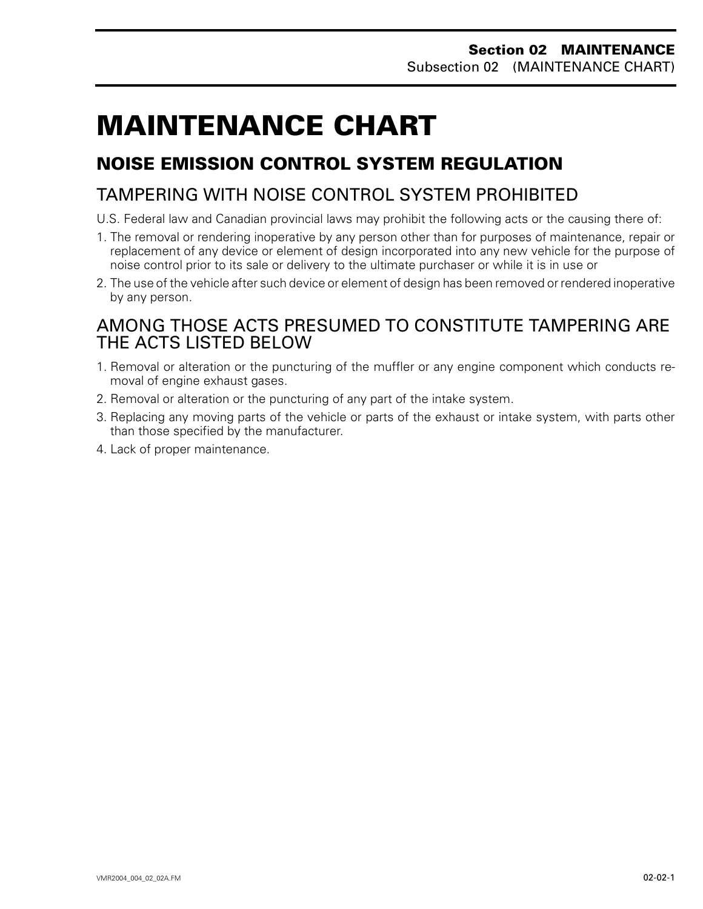# <span id="page-1-0"></span>**MAINTENANCE CHART 0**

# **NOISE EMISSION CONTROL SYSTEM REGULATION**

# TAMPERING WITH NOISE CONTROL SYSTEM PROHIBITED

- U.S. Federal law and Canadian provincial laws may prohibit the following acts or the causing there of:
- 1. The removal or rendering inoperative by any person other than for purposes of maintenance, repair or replacement of any device or element of design incorporated into any new vehicle for the purpose of noise control prior to its sale or delivery to the ultimate purchaser or while it is in use or
- 2. The use of the vehicle after such device or element of design has been removed or rendered inoperative by any person.

## AMONG THOSE ACTS PRESUMED TO CONSTITUTE TAMPERING ARE THE ACTS LISTED BFI OW

- 1. Removal or alteration or the puncturing of the muffler or any engine component which conducts removal of engine exhaust gases.
- 2. Removal or alteration or the puncturing of any part of the intake system.
- 3. Replacing any moving parts of the vehicle or parts of the exhaust or intake system, with parts other than those specified by the manufacturer.
- 4. Lack of proper maintenance.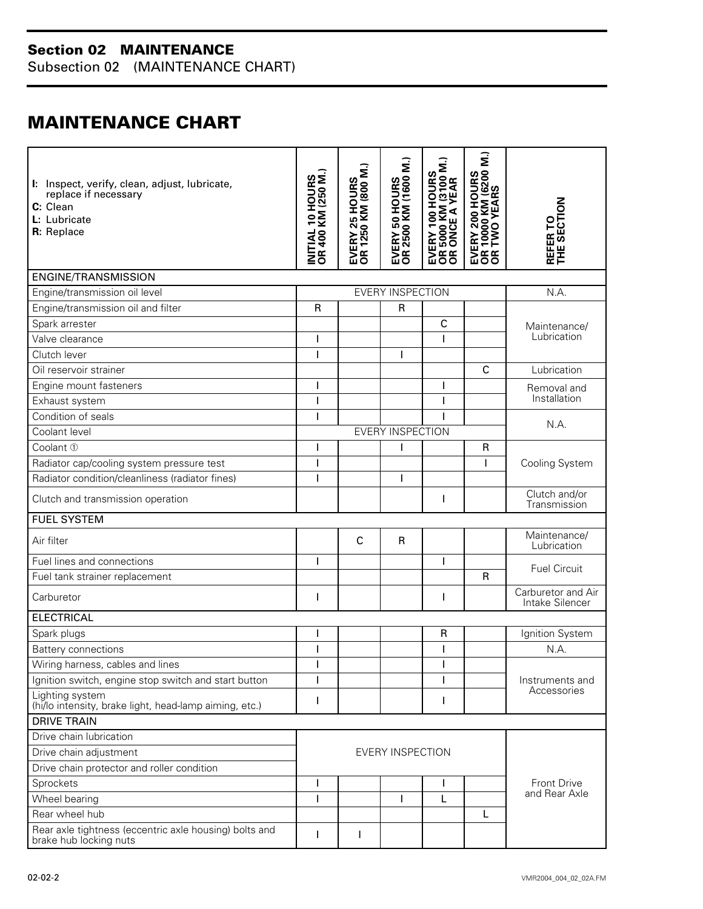## **Section 02 MAINTENANCE**

Subsection 02 (MAINTENANCE CHART)

# <span id="page-2-0"></span>**MAINTENANCE CHART**

| I: Inspect, verify, clean, adjust, lubricate,<br>replace if necessary<br>C: Clean<br>L: Lubricate<br>R: Replace | <b>INITIAL 10 HOURS<br/>OR 400 KM (250 M.)</b> | <b>EVERY 25 HOURS<br/>OR 1250 KM (800 M.)</b> | <b>EVERY 50 HOURS<br/>OR 2500 KM (1600 M.)</b> | EVERY 100 HOURS<br>OR 5000 KM (3100 M.)<br>OR ONCE A YEAR | <b>EVERY 200 HOURS<br/>OR 10000 KM (6200 M.)</b><br>OR TWO YEARS | <b>REFER TO<br/>THE SECTION</b>       |  |
|-----------------------------------------------------------------------------------------------------------------|------------------------------------------------|-----------------------------------------------|------------------------------------------------|-----------------------------------------------------------|------------------------------------------------------------------|---------------------------------------|--|
| <b>ENGINE/TRANSMISSION</b>                                                                                      |                                                |                                               |                                                |                                                           |                                                                  |                                       |  |
| Engine/transmission oil level                                                                                   |                                                |                                               | <b>EVERY INSPECTION</b>                        |                                                           |                                                                  | N.A.                                  |  |
| Engine/transmission oil and filter                                                                              | $\mathsf{R}$                                   |                                               | $\mathsf{R}$                                   |                                                           |                                                                  |                                       |  |
| Spark arrester                                                                                                  |                                                |                                               |                                                | $\mathsf{C}$                                              |                                                                  | Maintenance/                          |  |
| Valve clearance                                                                                                 |                                                |                                               |                                                |                                                           |                                                                  | Lubrication                           |  |
| Clutch lever                                                                                                    |                                                |                                               |                                                |                                                           |                                                                  |                                       |  |
| Oil reservoir strainer                                                                                          |                                                |                                               |                                                |                                                           | C                                                                | Lubrication                           |  |
| Engine mount fasteners                                                                                          |                                                |                                               |                                                |                                                           |                                                                  | Removal and                           |  |
| Exhaust system                                                                                                  |                                                |                                               |                                                |                                                           |                                                                  | Installation                          |  |
| Condition of seals                                                                                              |                                                |                                               |                                                |                                                           |                                                                  |                                       |  |
| Coolant level                                                                                                   |                                                |                                               | <b>EVERY INSPECTION</b>                        |                                                           |                                                                  | N.A.                                  |  |
| Coolant 1                                                                                                       |                                                |                                               | I                                              |                                                           | R                                                                |                                       |  |
| Radiator cap/cooling system pressure test                                                                       |                                                |                                               |                                                |                                                           |                                                                  | Cooling System                        |  |
| Radiator condition/cleanliness (radiator fines)                                                                 |                                                |                                               |                                                |                                                           |                                                                  |                                       |  |
| Clutch and transmission operation                                                                               |                                                |                                               |                                                | I                                                         |                                                                  | Clutch and/or<br>Transmission         |  |
| <b>FUEL SYSTEM</b>                                                                                              |                                                |                                               |                                                |                                                           |                                                                  |                                       |  |
| Air filter                                                                                                      |                                                | $\mathsf{C}$                                  | $\mathsf{R}$                                   |                                                           |                                                                  | Maintenance/<br>Lubrication           |  |
| Fuel lines and connections                                                                                      |                                                |                                               |                                                | ı                                                         |                                                                  |                                       |  |
| Fuel tank strainer replacement                                                                                  |                                                |                                               |                                                |                                                           | $\mathsf{R}$                                                     | <b>Fuel Circuit</b>                   |  |
| Carburetor                                                                                                      | I                                              |                                               |                                                | I                                                         |                                                                  | Carburetor and Air<br>Intake Silencer |  |
| <b>ELECTRICAL</b>                                                                                               |                                                |                                               |                                                |                                                           |                                                                  |                                       |  |
| Spark plugs                                                                                                     |                                                |                                               |                                                | $\mathsf{R}$                                              |                                                                  | Ignition System                       |  |
| <b>Battery connections</b>                                                                                      |                                                |                                               |                                                |                                                           |                                                                  | N.A.                                  |  |
| Wiring harness, cables and lines                                                                                | ı                                              |                                               |                                                | I                                                         |                                                                  |                                       |  |
| Ignition switch, engine stop switch and start button                                                            | ı                                              |                                               |                                                |                                                           |                                                                  | Instruments and<br>Accessories        |  |
| Lighting system<br>(hi/lo intensity, brake light, head-lamp aiming, etc.)                                       | I                                              |                                               |                                                | I                                                         |                                                                  |                                       |  |
| <b>DRIVE TRAIN</b>                                                                                              |                                                |                                               |                                                |                                                           |                                                                  |                                       |  |
| Drive chain lubrication                                                                                         |                                                |                                               |                                                |                                                           |                                                                  |                                       |  |
| Drive chain adjustment                                                                                          | EVERY INSPECTION                               |                                               |                                                |                                                           |                                                                  |                                       |  |
| Drive chain protector and roller condition                                                                      |                                                |                                               |                                                |                                                           |                                                                  |                                       |  |
| Sprockets                                                                                                       | I                                              |                                               |                                                |                                                           |                                                                  | <b>Front Drive</b><br>and Rear Axle   |  |
| Wheel bearing                                                                                                   |                                                |                                               |                                                | L                                                         |                                                                  |                                       |  |
| Rear wheel hub                                                                                                  |                                                |                                               |                                                |                                                           | L                                                                |                                       |  |
| Rear axle tightness (eccentric axle housing) bolts and<br>brake hub locking nuts                                |                                                |                                               |                                                |                                                           |                                                                  |                                       |  |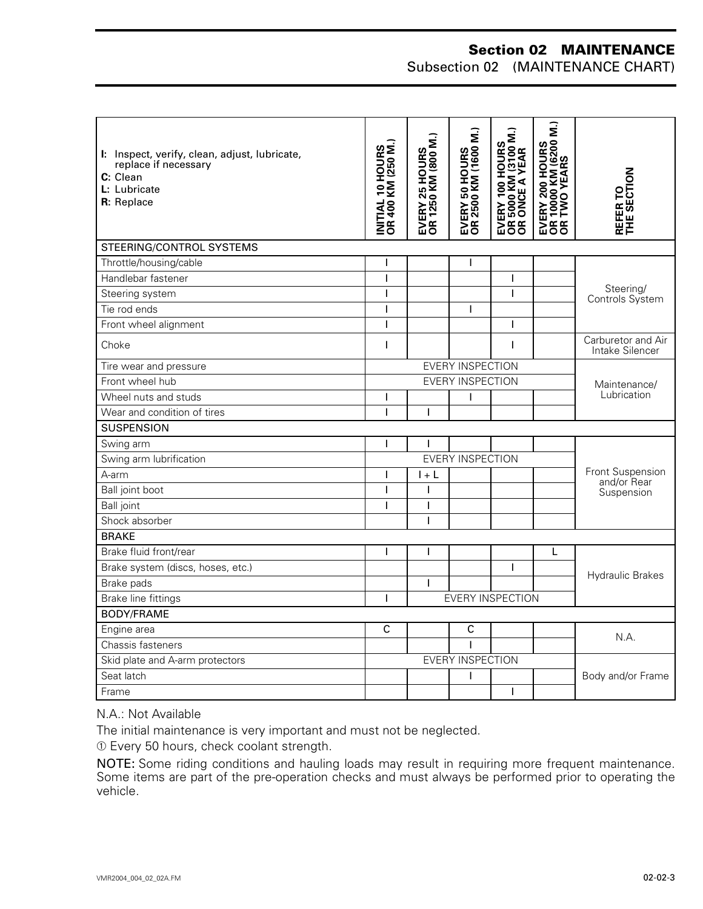## **Section 02 MAINTENANCE**

Subsection 02 (MAINTENANCE CHART)

| I: Inspect, verify, clean, adjust, lubricate,<br>replace if necessary<br>C: Clean<br>L: Lubricate<br>R: Replace | <b>INITIAL 10 HOURS<br/>OR 400 KM (250 M.)</b> | <b>EVERY 25 HOURS<br/>OR 1250 KM (800 M.)</b> | <b>EVERY 50 HOURS<br/>OR 2500 KM (1600 M.)</b> | EVERY 100 HOURS<br>OR 5000 KM (3100 M.)<br>OR ONCE A YEAR | $\hat{\mathbf{z}}$<br><b>EVERY 200 HOURS<br/>OR 10000 KM (6200<br/>OR TWO YEARS</b> | THE SECTION<br>REFER TO               |  |
|-----------------------------------------------------------------------------------------------------------------|------------------------------------------------|-----------------------------------------------|------------------------------------------------|-----------------------------------------------------------|-------------------------------------------------------------------------------------|---------------------------------------|--|
| STEERING/CONTROL SYSTEMS                                                                                        |                                                |                                               |                                                |                                                           |                                                                                     |                                       |  |
| Throttle/housing/cable                                                                                          | ı                                              |                                               | ı                                              |                                                           |                                                                                     |                                       |  |
| Handlebar fastener                                                                                              | $\mathbf{I}$                                   |                                               |                                                | $\overline{\phantom{a}}$                                  |                                                                                     |                                       |  |
| Steering system                                                                                                 | I                                              |                                               |                                                | $\overline{\phantom{a}}$                                  |                                                                                     | Steering/<br>Controls System          |  |
| Tie rod ends                                                                                                    | I                                              |                                               | T                                              |                                                           |                                                                                     |                                       |  |
| Front wheel alignment                                                                                           | I                                              |                                               |                                                | I                                                         |                                                                                     |                                       |  |
| Choke                                                                                                           | I                                              |                                               |                                                | 1                                                         |                                                                                     | Carburetor and Air<br>Intake Silencer |  |
| Tire wear and pressure                                                                                          | <b>EVERY INSPECTION</b>                        |                                               |                                                |                                                           |                                                                                     | Maintenance/                          |  |
| Front wheel hub                                                                                                 | <b>EVERY INSPECTION</b>                        |                                               |                                                |                                                           |                                                                                     |                                       |  |
| Wheel nuts and studs                                                                                            | I                                              |                                               | T                                              |                                                           |                                                                                     | Lubrication                           |  |
| Wear and condition of tires                                                                                     | I                                              |                                               |                                                |                                                           |                                                                                     |                                       |  |
| <b>SUSPENSION</b>                                                                                               |                                                |                                               |                                                |                                                           |                                                                                     |                                       |  |
| Swing arm                                                                                                       | ı                                              |                                               |                                                |                                                           |                                                                                     |                                       |  |
| Swing arm lubrification                                                                                         |                                                |                                               | <b>EVERY INSPECTION</b>                        |                                                           |                                                                                     |                                       |  |
| A-arm                                                                                                           | I                                              | $l + L$                                       |                                                |                                                           |                                                                                     | Front Suspension<br>and/or Rear       |  |
| Ball joint boot                                                                                                 | ı                                              | T                                             |                                                |                                                           |                                                                                     | Suspension                            |  |
| <b>Ball</b> joint                                                                                               | ı                                              | T                                             |                                                |                                                           |                                                                                     |                                       |  |
| Shock absorber                                                                                                  |                                                |                                               |                                                |                                                           |                                                                                     |                                       |  |
| <b>BRAKE</b>                                                                                                    |                                                |                                               |                                                |                                                           |                                                                                     |                                       |  |
| Brake fluid front/rear                                                                                          | $\mathsf{I}$                                   | L                                             |                                                |                                                           | L                                                                                   |                                       |  |
| Brake system (discs, hoses, etc.)                                                                               |                                                |                                               |                                                | $\mathbf{I}$                                              |                                                                                     | <b>Hydraulic Brakes</b>               |  |
| Brake pads                                                                                                      |                                                | $\overline{1}$                                |                                                |                                                           |                                                                                     |                                       |  |
| Brake line fittings                                                                                             | I                                              |                                               |                                                | <b>EVERY INSPECTION</b>                                   |                                                                                     |                                       |  |
| <b>BODY/FRAME</b>                                                                                               |                                                |                                               |                                                |                                                           |                                                                                     |                                       |  |
| Engine area                                                                                                     | C                                              |                                               | C                                              |                                                           |                                                                                     | N.A.                                  |  |
| Chassis fasteners                                                                                               |                                                |                                               | $\overline{1}$                                 |                                                           |                                                                                     |                                       |  |
| Skid plate and A-arm protectors                                                                                 | <b>EVERY INSPECTION</b>                        |                                               |                                                |                                                           |                                                                                     |                                       |  |
| Seat latch                                                                                                      |                                                |                                               | T                                              |                                                           |                                                                                     | Body and/or Frame                     |  |
| Frame                                                                                                           |                                                |                                               |                                                | I                                                         |                                                                                     |                                       |  |

N.A.: Not Available

The initial maintenance is very important and must not be neglected.

➀ Every 50 hours, check coolant strength.

NOTE: Some riding conditions and hauling loads may result in requiring more frequent maintenance. Some items are part of the pre-operation checks and must always be performed prior to operating the vehicle.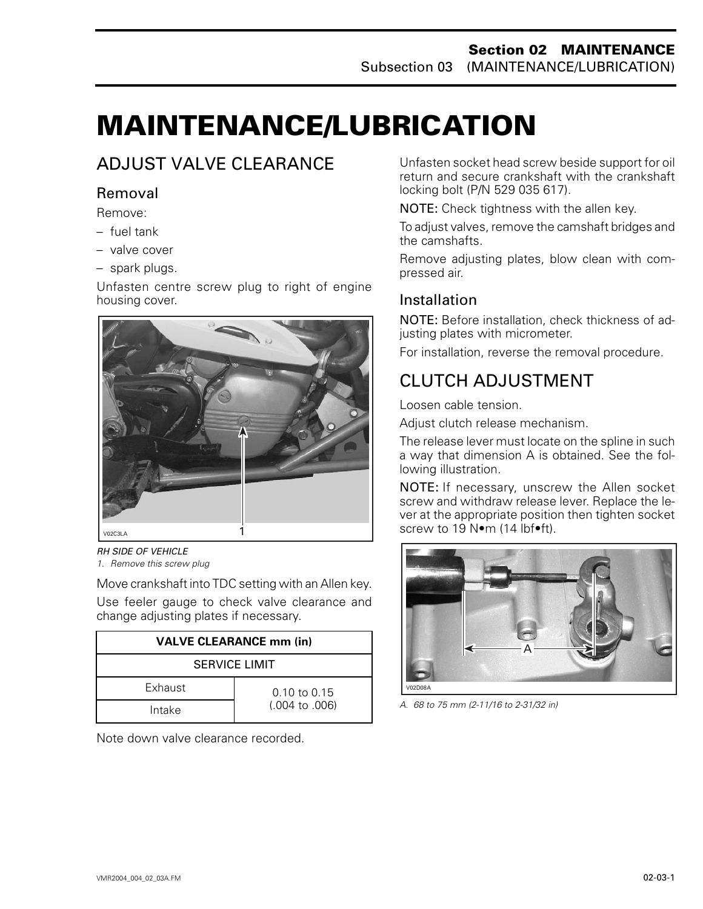# <span id="page-4-0"></span>**MAINTENANCE/LUBRICATION 0**

# ADJUST VALVE CLEARANCE

## Removal

Remove:

- fuel tank
- valve cover
- spark plugs.

Unfasten centre screw plug to right of engine housing cover.



*RH SIDE OF VEHICLE*

*1. Remove this screw plug*

Move crankshaft into TDC setting with an Allen key. Use feeler gauge to check valve clearance and change adjusting plates if necessary.

| <b>VALVE CLEARANCE mm (in)</b> |                           |  |  |  |  |
|--------------------------------|---------------------------|--|--|--|--|
| <b>SERVICE LIMIT</b>           |                           |  |  |  |  |
| Exhaust                        | $0.10 \text{ to } 0.15$   |  |  |  |  |
| Intake                         | $(.004 \text{ to } .006)$ |  |  |  |  |

Note down valve clearance recorded.

Unfasten socket head screw beside support for oil return and secure crankshaft with the crankshaft locking bolt (P/N 529 035 617).

NOTE: Check tightness with the allen key.

To adjust valves, remove the camshaft bridges and the camshafts.

Remove adjusting plates, blow clean with compressed air.

## Installation

NOTE: Before installation, check thickness of adjusting plates with micrometer.

For installation, reverse the removal procedure.

## CLUTCH ADJUSTMENT

Loosen cable tension.

Adjust clutch release mechanism.

The release lever must locate on the spline in such a way that dimension A is obtained. See the following illustration.

NOTE: If necessary, unscrew the Allen socket screw and withdraw release lever. Replace the lever at the appropriate position then tighten socket screw to 19 Nom (14 lbfoft).



*A. 68 to 75 mm (2-11/16 to 2-31/32 in)*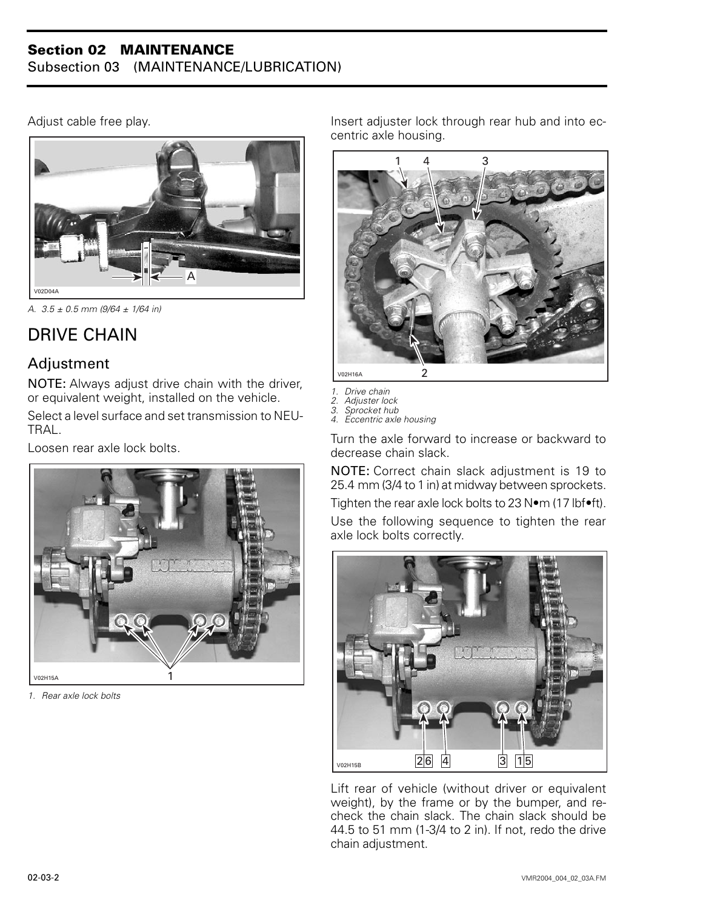#### **Section 02 MAINTENANCE** Subsection 03 (MAINTENANCE/LUBRICATION)

Adjust cable free play.



*A. 3.5 ± 0.5 mm (9/64 ± 1/64 in)*

# <span id="page-5-0"></span>DRIVE CHAIN

## Adjustment

NOTE: Always adjust drive chain with the driver, or equivalent weight, installed on the vehicle.

Select a level surface and set transmission to NEU-**TRAL** 

Loosen rear axle lock bolts.



*1. Rear axle lock bolts*

Insert adjuster lock through rear hub and into eccentric axle housing.



- *1. Drive chain*
- *2. Adjuster lock 3. Sprocket hub*
- *4. Eccentric axle housing*

Turn the axle forward to increase or backward to decrease chain slack.

NOTE: Correct chain slack adjustment is 19 to 25.4 mm (3/4 to 1 in) at midway between sprockets.

Tighten the rear axle lock bolts to 23 N•m (17 lbf•ft).

Use the following sequence to tighten the rear axle lock bolts correctly.



Lift rear of vehicle (without driver or equivalent weight), by the frame or by the bumper, and recheck the chain slack. The chain slack should be 44.5 to 51 mm (1-3/4 to 2 in). If not, redo the drive chain adjustment.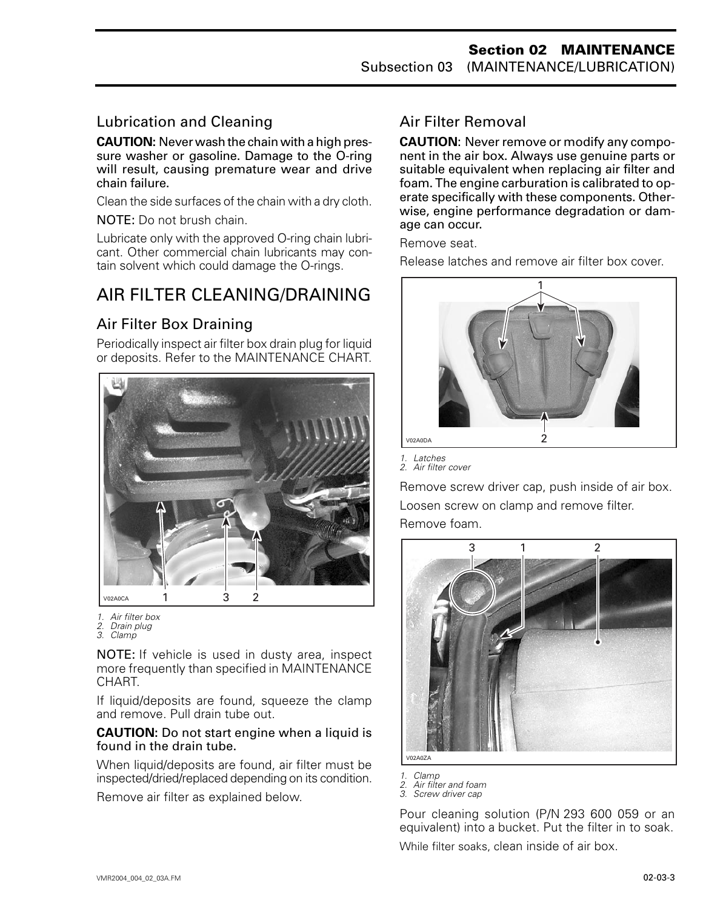### Lubrication and Cleaning

**CAUTION:** Never wash the chain with a high pressure washer or gasoline. Damage to the O-ring will result, causing premature wear and drive chain failure.

Clean the side surfaces of the chain with a dry cloth.

NOTE: Do not brush chain.

Lubricate only with the approved O-ring chain lubricant. Other commercial chain lubricants may contain solvent which could damage the O-rings.

## <span id="page-6-0"></span>AIR FILTER CLEANING/DRAINING

### Air Filter Box Draining

Periodically inspect air filter box drain plug for liquid or deposits. Refer to the MAINTENANCE CHART.



*1. Air filter box*

NOTE: If vehicle is used in dusty area, inspect more frequently than specified in MAINTENANCE CHART.

If liquid/deposits are found, squeeze the clamp and remove. Pull drain tube out.

#### **CAUTION:** Do not start engine when a liquid is found in the drain tube.

When liquid/deposits are found, air filter must be inspected/dried/replaced depending on its condition.

Remove air filter as explained below.

## Air Filter Removal

**CAUTION**: Never remove or modify any component in the air box. Always use genuine parts or suitable equivalent when replacing air filter and foam. The engine carburation is calibrated to operate specifically with these components. Otherwise, engine performance degradation or damage can occur.

Remove seat.

Release latches and remove air filter box cover.



*1. Latches*

*2. Air filter cover*

Remove screw driver cap, push inside of air box. Loosen screw on clamp and remove filter. Remove foam.



*1. Clamp 2. Air filter and foam 3. Screw driver cap*

Pour cleaning solution (P/N 293 600 059 or an equivalent) into a bucket. Put the filter in to soak. While filter soaks, clean inside of air box.

*<sup>2.</sup> Drain plug 3. Clamp*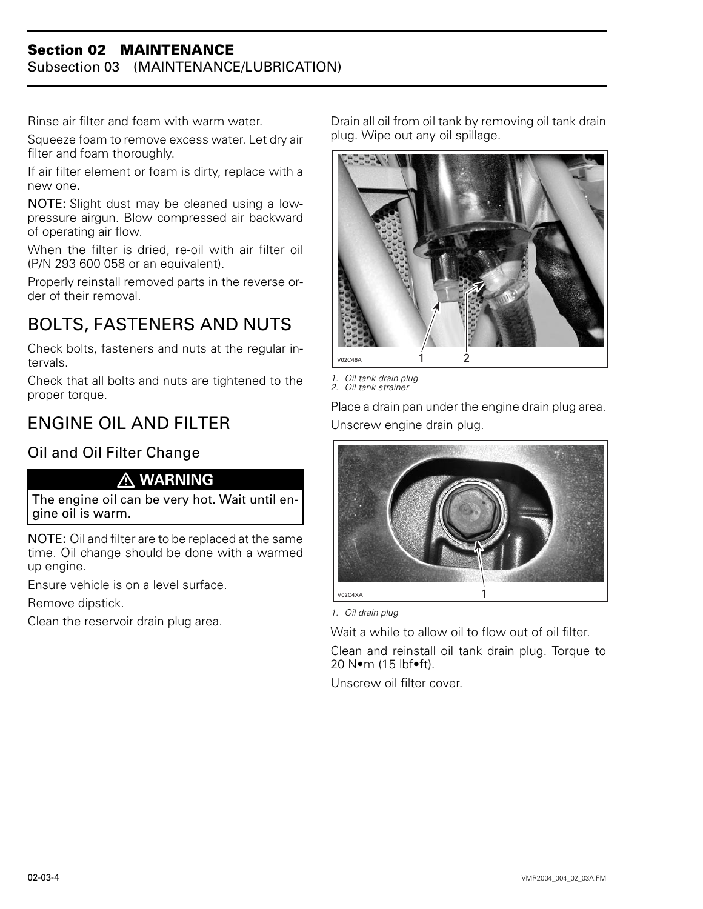#### **Section 02 MAINTENANCE** Subsection 03 (MAINTENANCE/LUBRICATION)

Rinse air filter and foam with warm water.

Squeeze foam to remove excess water. Let dry air filter and foam thoroughly.

If air filter element or foam is dirty, replace with a new one.

NOTE: Slight dust may be cleaned using a lowpressure airgun. Blow compressed air backward of operating air flow.

When the filter is dried, re-oil with air filter oil (P/N 293 600 058 or an equivalent).

Properly reinstall removed parts in the reverse order of their removal.

# <span id="page-7-0"></span>BOLTS, FASTENERS AND NUTS

Check bolts, fasteners and nuts at the regular intervals.

Check that all bolts and nuts are tightened to the proper torque.

# ENGINE OIL AND FILTER

## Oil and Oil Filter Change

#### **WARNING**

The engine oil can be very hot. Wait until engine oil is warm.

NOTE: Oil and filter are to be replaced at the same time. Oil change should be done with a warmed up engine.

Ensure vehicle is on a level surface.

Remove dipstick.

Clean the reservoir drain plug area.

Drain all oil from oil tank by removing oil tank drain plug. Wipe out any oil spillage.



*1. Oil tank drain plug 2. Oil tank strainer*

Place a drain pan under the engine drain plug area. Unscrew engine drain plug.



*1. Oil drain plug*

Wait a while to allow oil to flow out of oil filter. Clean and reinstall oil tank drain plug. Torque to 20 N•m (15 lbf•ft).

Unscrew oil filter cover.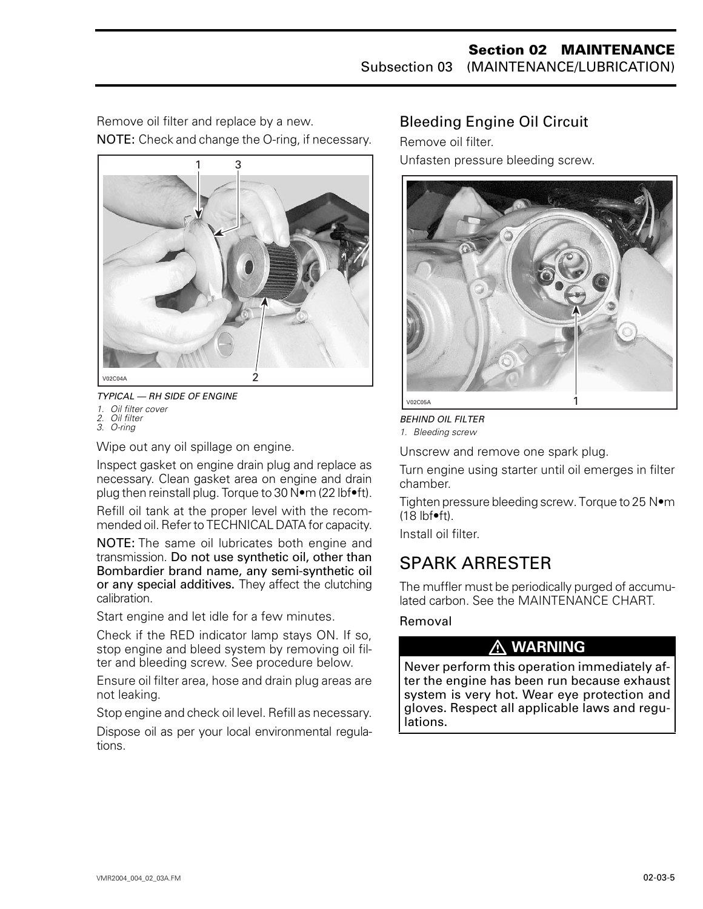Remove oil filter and replace by a new. NOTE: Check and change the O-ring, if necessary.



*TYPICAL — RH SIDE OF ENGINE*

*1. Oil filter cover 2. Oil filter*

*3. O-ring*

Wipe out any oil spillage on engine.

Inspect gasket on engine drain plug and replace as necessary. Clean gasket area on engine and drain plug then reinstall plug. Torque to 30 N•m (22 lbf•ft).

Refill oil tank at the proper level with the recommended oil. Refer to TECHNICAL DATA for capacity.

NOTE: The same oil lubricates both engine and transmission. Do not use synthetic oil, other than Bombardier brand name, any semi-synthetic oil or any special additives. They affect the clutching calibration.

Start engine and let idle for a few minutes.

Check if the RED indicator lamp stays ON. If so, stop engine and bleed system by removing oil filter and bleeding screw. See procedure below.

Ensure oil filter area, hose and drain plug areas are not leaking.

Stop engine and check oil level. Refill as necessary.

Dispose oil as per your local environmental regulations.

## Bleeding Engine Oil Circuit

Remove oil filter.

Unfasten pressure bleeding screw.



*BEHIND OIL FILTER 1. Bleeding screw*

Unscrew and remove one spark plug.

Turn engine using starter until oil emerges in filter chamber.

Tighten pressure bleeding screw. Torque to 25 N•m  $(18 \text{ lbf} \cdot \text{ft})$ .

Install oil filter.

## <span id="page-8-0"></span>SPARK ARRESTER

The muffler must be periodically purged of accumulated carbon. See the MAINTENANCE CHART.

Removal

## **WARNING**

Never perform this operation immediately after the engine has been run because exhaust system is very hot. Wear eye protection and gloves. Respect all applicable laws and regulations.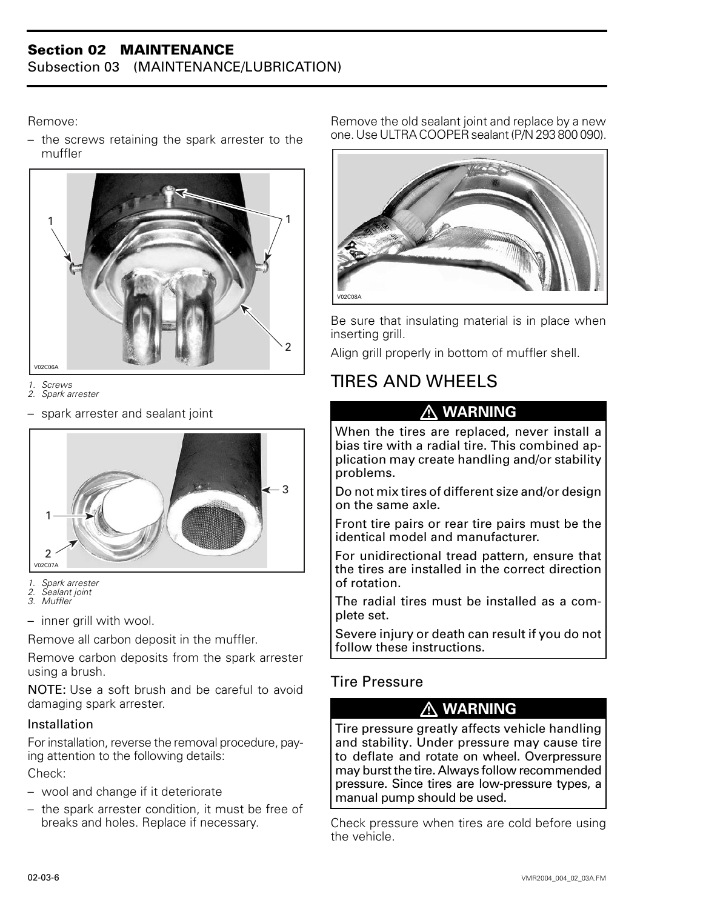Remove:

– the screws retaining the spark arrester to the muffler



*1. Screws 2. Spark arrester*

– spark arrester and sealant joint



*1. Spark arrester*

*2. Sealant joint 3. Muffler*

– inner grill with wool.

Remove all carbon deposit in the muffler.

Remove carbon deposits from the spark arrester using a brush.

NOTE: Use a soft brush and be careful to avoid damaging spark arrester.

#### Installation

For installation, reverse the removal procedure, paying attention to the following details:

Check:

- wool and change if it deteriorate
- the spark arrester condition, it must be free of breaks and holes. Replace if necessary.

Remove the old sealant joint and replace by a new one. Use ULTRA COOPER sealant (P/N 293 800 090).



Be sure that insulating material is in place when inserting grill.

Align grill properly in bottom of muffler shell.

## <span id="page-9-0"></span>TIRES AND WHEELS

## **WARNING**

When the tires are replaced, never install a bias tire with a radial tire. This combined application may create handling and/or stability problems.

Do not mix tires of different size and/or design on the same axle.

Front tire pairs or rear tire pairs must be the identical model and manufacturer.

For unidirectional tread pattern, ensure that the tires are installed in the correct direction of rotation.

The radial tires must be installed as a complete set.

Severe injury or death can result if you do not follow these instructions.

## Tire Pressure

## **WARNING**

Tire pressure greatly affects vehicle handling and stability. Under pressure may cause tire to deflate and rotate on wheel. Overpressure may burst the tire. Always follow recommended pressure. Since tires are low-pressure types, a manual pump should be used.

Check pressure when tires are cold before using the vehicle.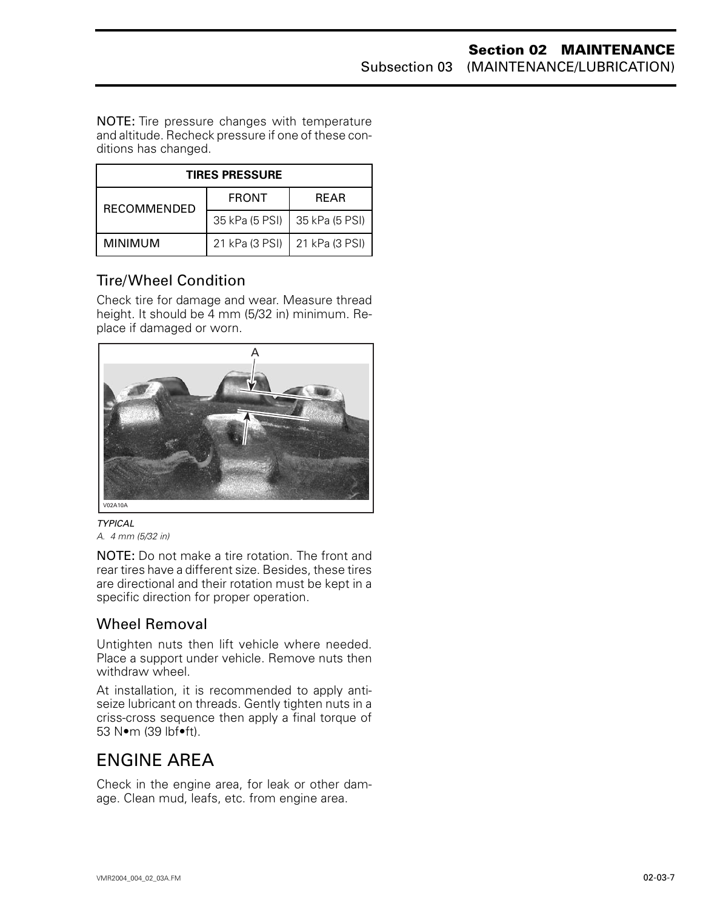NOTE: Tire pressure changes with temperature and altitude. Recheck pressure if one of these conditions has changed.

| <b>TIRES PRESSURE</b> |                |                |  |  |  |  |  |
|-----------------------|----------------|----------------|--|--|--|--|--|
| <b>RECOMMENDED</b>    | <b>FRONT</b>   | <b>REAR</b>    |  |  |  |  |  |
|                       | 35 kPa (5 PSI) | 35 kPa (5 PSI) |  |  |  |  |  |
| MINIMUM               | 21 kPa (3 PSI) | 21 kPa (3 PSI) |  |  |  |  |  |

## Tire/Wheel Condition

Check tire for damage and wear. Measure thread height. It should be 4 mm (5/32 in) minimum. Replace if damaged or worn.



*TYPICAL A. 4 mm (5/32 in)*

NOTE: Do not make a tire rotation. The front and rear tires have a different size. Besides, these tires are directional and their rotation must be kept in a specific direction for proper operation.

## Wheel Removal

Untighten nuts then lift vehicle where needed. Place a support under vehicle. Remove nuts then withdraw wheel.

At installation, it is recommended to apply antiseize lubricant on threads. Gently tighten nuts in a criss-cross sequence then apply a final torque of 53 N•m (39 lbf•ft).

## <span id="page-10-0"></span>ENGINE AREA

Check in the engine area, for leak or other damage. Clean mud, leafs, etc. from engine area.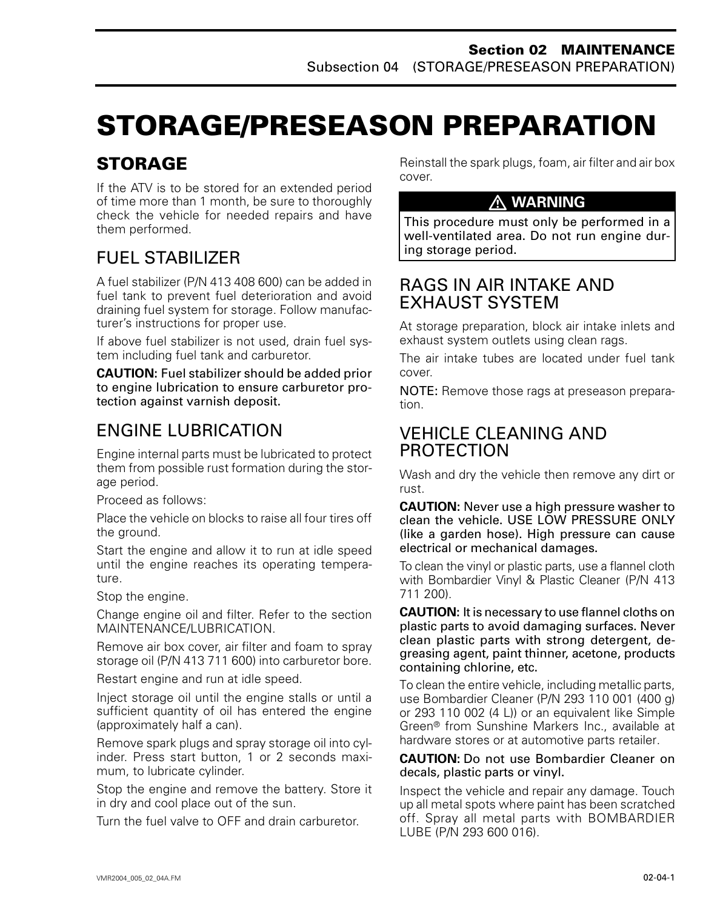# <span id="page-11-0"></span>**STORAGE/PRESEASON PREPARATION**

# **STORAGE**

If the ATV is to be stored for an extended period of time more than 1 month, be sure to thoroughly check the vehicle for needed repairs and have them performed.

# FUEL STABILIZER

A fuel stabilizer (P/N 413 408 600) can be added in fuel tank to prevent fuel deterioration and avoid draining fuel system for storage. Follow manufacturer's instructions for proper use.

If above fuel stabilizer is not used, drain fuel system including fuel tank and carburetor.

**CAUTION:** Fuel stabilizer should be added prior to engine lubrication to ensure carburetor protection against varnish deposit.

# ENGINE LUBRICATION

Engine internal parts must be lubricated to protect them from possible rust formation during the storage period.

Proceed as follows:

Place the vehicle on blocks to raise all four tires off the ground.

Start the engine and allow it to run at idle speed until the engine reaches its operating temperature.

Stop the engine.

Change engine oil and filter. Refer to the section MAINTENANCE/LUBRICATION.

Remove air box cover, air filter and foam to spray storage oil (P/N 413 711 600) into carburetor bore.

Restart engine and run at idle speed.

Inject storage oil until the engine stalls or until a sufficient quantity of oil has entered the engine (approximately half a can).

Remove spark plugs and spray storage oil into cylinder. Press start button, 1 or 2 seconds maximum, to lubricate cylinder.

Stop the engine and remove the battery. Store it in dry and cool place out of the sun.

Turn the fuel valve to OFF and drain carburetor.

Reinstall the spark plugs, foam, air filter and air box cover.

### **WARNING**

This procedure must only be performed in a well-ventilated area. Do not run engine during storage period.

## RAGS IN AIR INTAKE AND EXHAUST SYSTEM

At storage preparation, block air intake inlets and exhaust system outlets using clean rags.

The air intake tubes are located under fuel tank cover.

NOTE: Remove those rags at preseason preparation.

## VEHICLE CLEANING AND PROTECTION

Wash and dry the vehicle then remove any dirt or rust.

**CAUTION:** Never use a high pressure washer to clean the vehicle. USE LOW PRESSURE ONLY (like a garden hose). High pressure can cause electrical or mechanical damages.

To clean the vinyl or plastic parts, use a flannel cloth with Bombardier Vinyl & Plastic Cleaner (P/N 413 711 200).

**CAUTION:** It is necessary to use flannel cloths on plastic parts to avoid damaging surfaces. Never clean plastic parts with strong detergent, degreasing agent, paint thinner, acetone, products containing chlorine, etc.

To clean the entire vehicle, including metallic parts, use Bombardier Cleaner (P/N 293 110 001 (400 g) or 293 110 002 (4 L)) or an equivalent like Simple Green® from Sunshine Markers Inc., available at hardware stores or at automotive parts retailer.

#### **CAUTION:** Do not use Bombardier Cleaner on decals, plastic parts or vinyl.

Inspect the vehicle and repair any damage. Touch up all metal spots where paint has been scratched off. Spray all metal parts with BOMBARDIER LUBE (P/N 293 600 016).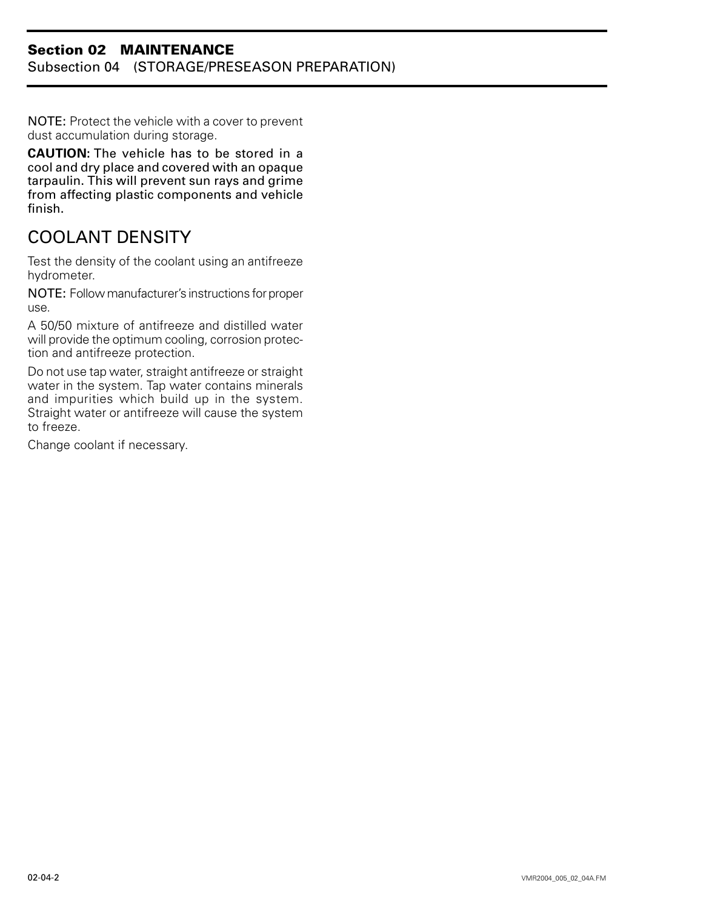#### **Section 02 MAINTENANCE** Subsection 04 (STORAGE/PRESEASON PREPARATION)

NOTE: Protect the vehicle with a cover to prevent dust accumulation during storage.

**CAUTION:** The vehicle has to be stored in a cool and dry place and covered with an opaque tarpaulin. This will prevent sun rays and grime from affecting plastic components and vehicle finish.

# <span id="page-12-0"></span>COOLANT DENSITY

Test the density of the coolant using an antifreeze hydrometer.

NOTE: Follow manufacturer's instructions for proper use.

A 50/50 mixture of antifreeze and distilled water will provide the optimum cooling, corrosion protection and antifreeze protection.

Do not use tap water, straight antifreeze or straight water in the system. Tap water contains minerals and impurities which build up in the system. Straight water or antifreeze will cause the system to freeze.

Change coolant if necessary.